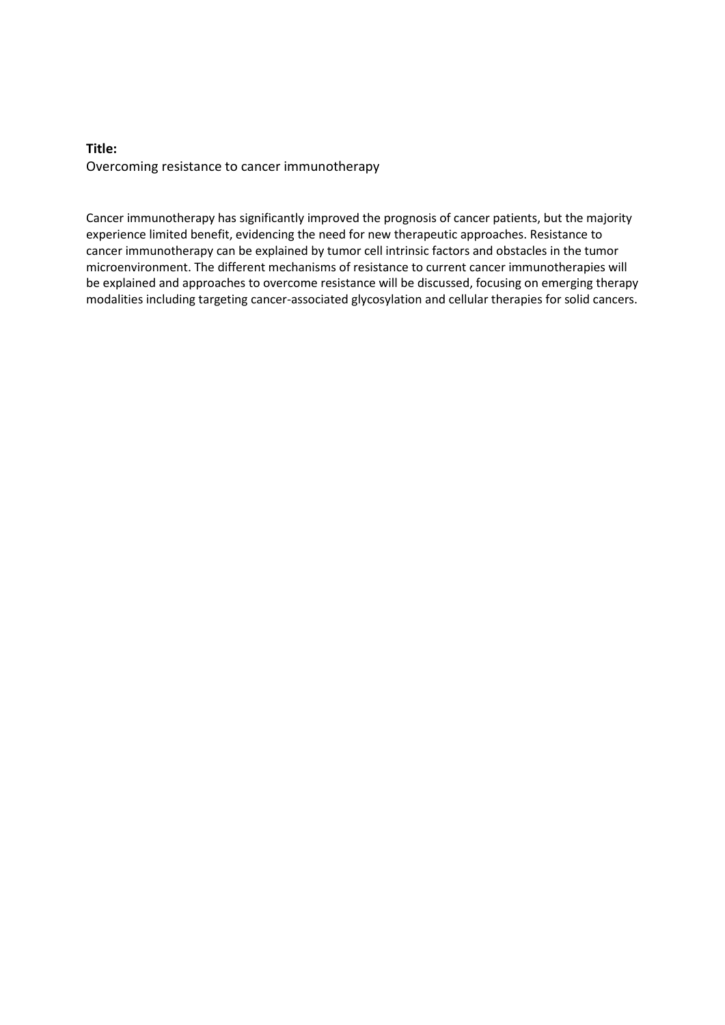## **Title:** Overcoming resistance to cancer immunotherapy

Cancer immunotherapy has significantly improved the prognosis of cancer patients, but the majority experience limited benefit, evidencing the need for new therapeutic approaches. Resistance to cancer immunotherapy can be explained by tumor cell intrinsic factors and obstacles in the tumor microenvironment. The different mechanisms of resistance to current cancer immunotherapies will be explained and approaches to overcome resistance will be discussed, focusing on emerging therapy modalities including targeting cancer-associated glycosylation and cellular therapies for solid cancers.